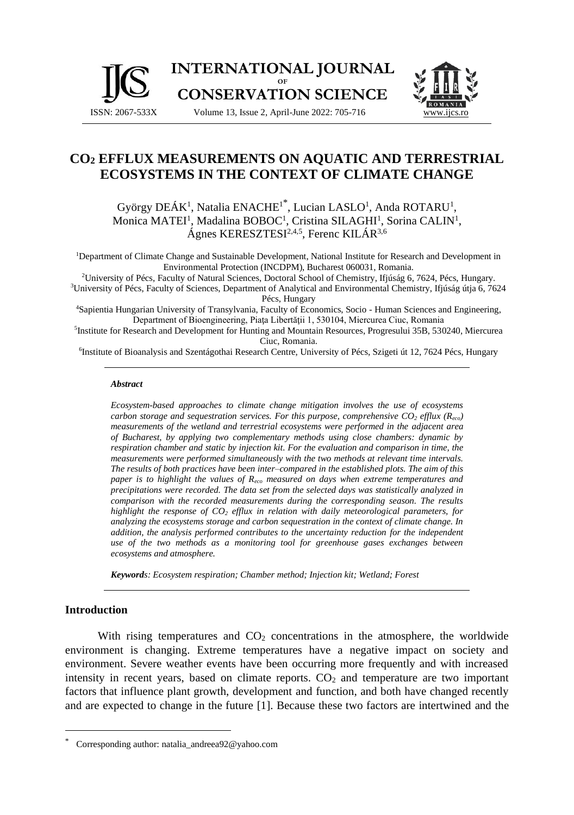



# **CO<sup>2</sup> EFFLUX MEASUREMENTS ON AQUATIC AND TERRESTRIAL ECOSYSTEMS IN THE CONTEXT OF CLIMATE CHANGE**

György DEÁK<sup>1</sup>, Natalia ENACHE<sup>1\*</sup>, Lucian LASLO<sup>1</sup>, Anda ROTARU<sup>1</sup>, Monica MATEI<sup>1</sup>, Madalina BOBOC<sup>1</sup>, Cristina SILAGHI<sup>1</sup>, Sorina CALIN<sup>1</sup>, Ágnes KERESZTESI<sup>2,4,5</sup>, Ferenc KILÁR<sup>3,6</sup>

<sup>1</sup>Department of Climate Change and Sustainable Development, National Institute for Research and Development in Environmental Protection (INCDPM), Bucharest 060031, Romania.

<sup>2</sup>University of Pécs, Faculty of Natural Sciences, Doctoral School of Chemistry, Ifjúság 6, 7624, Pécs, Hungary. <sup>3</sup>University of Pécs, Faculty of Sciences, Department of Analytical and Environmental Chemistry, Ifjúság útja 6, 7624 Pécs, Hungary

<sup>4</sup>Sapientia Hungarian University of Transylvania, Faculty of Economics, Socio - Human Sciences and Engineering, Department of Bioengineering, Piaţa Libertăţii 1, 530104, Miercurea Ciuc, Romania

5 Institute for Research and Development for Hunting and Mountain Resources, Progresului 35B, 530240, Miercurea Ciuc, Romania.

6 Institute of Bioanalysis and Szentágothai Research Centre, University of Pécs, Szigeti út 12, 7624 Pécs, Hungary

#### *Abstract*

*Ecosystem-based approaches to climate change mitigation involves the use of ecosystems carbon storage and sequestration services. For this purpose, comprehensive*  $CO_2$  *efflux (* $R_{eco}$ *) measurements of the wetland and terrestrial ecosystems were performed in the adjacent area of Bucharest, by applying two complementary methods using close chambers: dynamic by respiration chamber and static by injection kit. For the evaluation and comparison in time, the measurements were performed simultaneously with the two methods at relevant time intervals. The results of both practices have been inter–compared in the established plots. The aim of this paper is to highlight the values of Reco measured on days when extreme temperatures and precipitations were recorded. The data set from the selected days was statistically analyzed in comparison with the recorded measurements during the corresponding season. The results highlight the response of CO<sup>2</sup> efflux in relation with daily meteorological parameters, for analyzing the ecosystems storage and carbon sequestration in the context of climate change. In addition, the analysis performed contributes to the uncertainty reduction for the independent use of the two methods as a monitoring tool for greenhouse gases exchanges between ecosystems and atmosphere.*

*Keywords: Ecosystem respiration; Chamber method; Injection kit; Wetland; Forest*

#### **Introduction**

With rising temperatures and  $CO<sub>2</sub>$  concentrations in the atmosphere, the worldwide environment is changing. Extreme temperatures have a negative impact on society and environment. Severe weather events have been occurring more frequently and with increased intensity in recent years, based on climate reports. CO<sub>2</sub> and temperature are two important factors that influence plant growth, development and function, and both have changed recently and are expected to change in the future [1]. Because these two factors are intertwined and the

Corresponding author: natalia\_andreea92@yahoo.com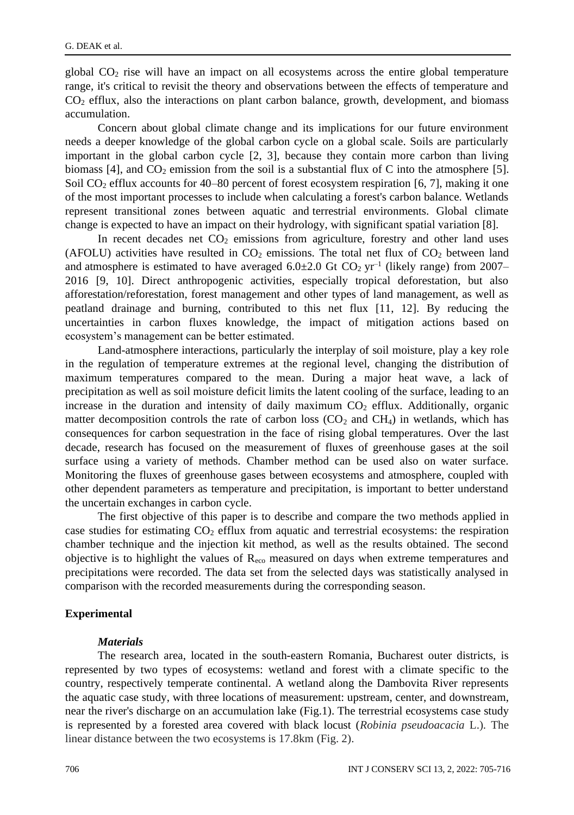global  $CO<sub>2</sub>$  rise will have an impact on all ecosystems across the entire global temperature range, it's critical to revisit the theory and observations between the effects of temperature and CO<sup>2</sup> efflux, also the interactions on plant carbon balance, growth, development, and biomass accumulation.

Concern about global climate change and its implications for our future environment needs a deeper knowledge of the global carbon cycle on a global scale. Soils are particularly important in the global carbon cycle [2, 3], because they contain more carbon than living biomass  $[4]$ , and  $CO<sub>2</sub>$  emission from the soil is a substantial flux of C into the atmosphere  $[5]$ . Soil  $CO<sub>2</sub>$  efflux accounts for 40–80 percent of forest ecosystem respiration [6, 7], making it one of the most important processes to include when calculating a forest's carbon balance. Wetlands represent transitional zones between aquatic and terrestrial environments. Global climate change is expected to have an impact on their hydrology, with significant spatial variation [8].

In recent decades net  $CO<sub>2</sub>$  emissions from agriculture, forestry and other land uses (AFOLU) activities have resulted in  $CO<sub>2</sub>$  emissions. The total net flux of  $CO<sub>2</sub>$  between land and atmosphere is estimated to have averaged  $6.0\pm2.0$  Gt  $CO<sub>2</sub>$  yr<sup>-1</sup> (likely range) from 2007– 2016 [9, 10]. Direct anthropogenic activities, especially tropical deforestation, but also afforestation/reforestation, forest management and other types of land management, as well as peatland drainage and burning, contributed to this net flux [11, 12]. By reducing the uncertainties in carbon fluxes knowledge, the impact of mitigation actions based on ecosystem's management can be better estimated.

Land-atmosphere interactions, particularly the interplay of soil moisture, play a key role in the regulation of temperature extremes at the regional level, changing the distribution of maximum temperatures compared to the mean. During a major heat wave, a lack of precipitation as well as soil moisture deficit limits the latent cooling of the surface, leading to an increase in the duration and intensity of daily maximum  $CO<sub>2</sub>$  efflux. Additionally, organic matter decomposition controls the rate of carbon loss  $(CO<sub>2</sub>$  and  $CH<sub>4</sub>)$  in wetlands, which has consequences for carbon sequestration in the face of rising global temperatures. Over the last decade, research has focused on the measurement of fluxes of greenhouse gases at the soil surface using a variety of methods. Chamber method can be used also on water surface. Monitoring the fluxes of greenhouse gases between ecosystems and atmosphere, coupled with other dependent parameters as temperature and precipitation, is important to better understand the uncertain exchanges in carbon cycle.

The first objective of this paper is to describe and compare the two methods applied in case studies for estimating  $CO<sub>2</sub>$  efflux from aquatic and terrestrial ecosystems: the respiration chamber technique and the injection kit method, as well as the results obtained. The second objective is to highlight the values of Reco measured on days when extreme temperatures and precipitations were recorded. The data set from the selected days was statistically analysed in comparison with the recorded measurements during the corresponding season.

#### **Experimental**

#### *Materials*

The research area, located in the south-eastern Romania, Bucharest outer districts, is represented by two types of ecosystems: wetland and forest with a climate specific to the country, respectively temperate continental. A wetland along the Dambovita River represents the aquatic case study, with three locations of measurement: upstream, center, and downstream, near the river's discharge on an accumulation lake (Fig.1). The terrestrial ecosystems case study is represented by a forested area covered with black locust (*Robinia pseudoacacia* L.). The linear distance between the two ecosystems is 17.8km (Fig. 2).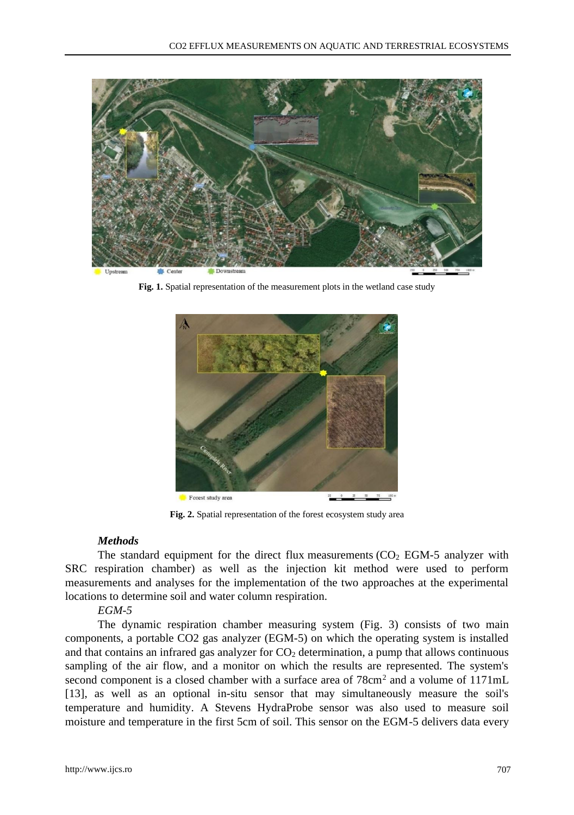

Fig. 1. Spatial representation of the measurement plots in the wetland case study



**Fig. 2.** Spatial representation of the forest ecosystem study area

### *Methods*

The standard equipment for the direct flux measurements  $(CO<sub>2</sub> EGM-5)$  analyzer with SRC respiration chamber) as well as the injection kit method were used to perform measurements and analyses for the implementation of the two approaches at the experimental locations to determine soil and water column respiration.

## *EGM-5*

The dynamic respiration chamber measuring system (Fig. 3) consists of two main components, a portable CO2 gas analyzer (EGM-5) on which the operating system is installed and that contains an infrared gas analyzer for  $CO<sub>2</sub>$  determination, a pump that allows continuous sampling of the air flow, and a monitor on which the results are represented. The system's second component is a closed chamber with a surface area of  $78 \text{cm}^2$  and a volume of  $1171 \text{mL}$ [13], as well as an optional in-situ sensor that may simultaneously measure the soil's temperature and humidity. A Stevens HydraProbe sensor was also used to measure soil moisture and temperature in the first 5cm of soil. This sensor on the EGM-5 delivers data every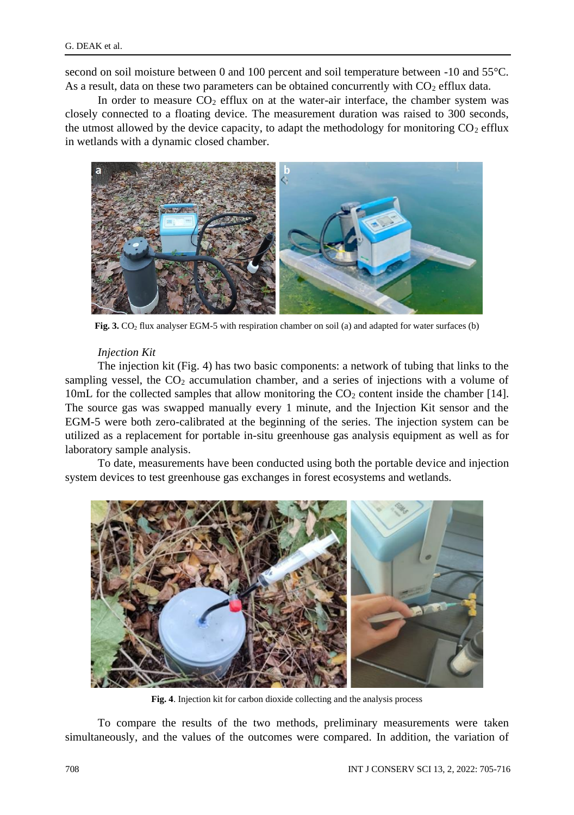second on soil moisture between 0 and 100 percent and soil temperature between -10 and 55°C. As a result, data on these two parameters can be obtained concurrently with  $CO<sub>2</sub>$  efflux data.

In order to measure  $CO<sub>2</sub>$  efflux on at the water-air interface, the chamber system was closely connected to a floating device. The measurement duration was raised to 300 seconds, the utmost allowed by the device capacity, to adapt the methodology for monitoring  $CO<sub>2</sub>$  efflux in wetlands with a dynamic closed chamber.



**Fig. 3.** CO<sub>2</sub> flux analyser EGM-5 with respiration chamber on soil (a) and adapted for water surfaces (b)

#### *Injection Kit*

The injection kit (Fig. 4) has two basic components: a network of tubing that links to the sampling vessel, the  $CO<sub>2</sub>$  accumulation chamber, and a series of injections with a volume of 10mL for the collected samples that allow monitoring the  $CO<sub>2</sub>$  content inside the chamber [14]. The source gas was swapped manually every 1 minute, and the Injection Kit sensor and the EGM-5 were both zero-calibrated at the beginning of the series. The injection system can be utilized as a replacement for portable in-situ greenhouse gas analysis equipment as well as for laboratory sample analysis.

To date, measurements have been conducted using both the portable device and injection system devices to test greenhouse gas exchanges in forest ecosystems and wetlands.



**Fig. 4**. Injection kit for carbon dioxide collecting and the analysis process

To compare the results of the two methods, preliminary measurements were taken simultaneously, and the values of the outcomes were compared. In addition, the variation of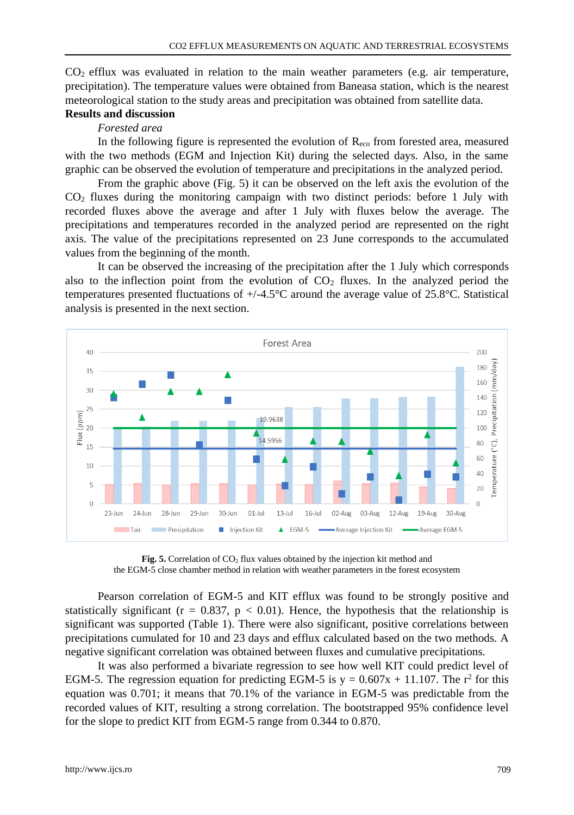CO2 efflux was evaluated in relation to the main weather parameters (e.g. air temperature, precipitation). The temperature values were obtained from Baneasa station, which is the nearest meteorological station to the study areas and precipitation was obtained from satellite data.

#### **Results and discussion** *Forested area*

In the following figure is represented the evolution of  $R_{\text{eco}}$  from forested area, measured with the two methods (EGM and Injection Kit) during the selected days. Also, in the same graphic can be observed the evolution of temperature and precipitations in the analyzed period.

From the graphic above (Fig. 5) it can be observed on the left axis the evolution of the  $CO<sub>2</sub>$  fluxes during the monitoring campaign with two distinct periods: before 1 July with recorded fluxes above the average and after 1 July with fluxes below the average. The precipitations and temperatures recorded in the analyzed period are represented on the right axis. The value of the precipitations represented on 23 June corresponds to the accumulated values from the beginning of the month.

It can be observed the increasing of the precipitation after the 1 July which corresponds also to the inflection point from the evolution of  $CO<sub>2</sub>$  fluxes. In the analyzed period the temperatures presented fluctuations of +/-4.5°C around the average value of 25.8°C. Statistical analysis is presented in the next section.



Fig. 5. Correlation of CO<sub>2</sub> flux values obtained by the injection kit method and the EGM-5 close chamber method in relation with weather parameters in the forest ecosystem

Pearson correlation of EGM-5 and KIT efflux was found to be strongly positive and statistically significant ( $r = 0.837$ ,  $p < 0.01$ ). Hence, the hypothesis that the relationship is significant was supported (Table 1). There were also significant, positive correlations between precipitations cumulated for 10 and 23 days and efflux calculated based on the two methods. A negative significant correlation was obtained between fluxes and cumulative precipitations.

It was also performed a bivariate regression to see how well KIT could predict level of EGM-5. The regression equation for predicting EGM-5 is  $y = 0.607x + 11.107$ . The r<sup>2</sup> for this equation was 0.701; it means that 70.1% of the variance in EGM-5 was predictable from the recorded values of KIT, resulting a strong correlation. The bootstrapped 95% confidence level for the slope to predict KIT from EGM-5 range from 0.344 to 0.870.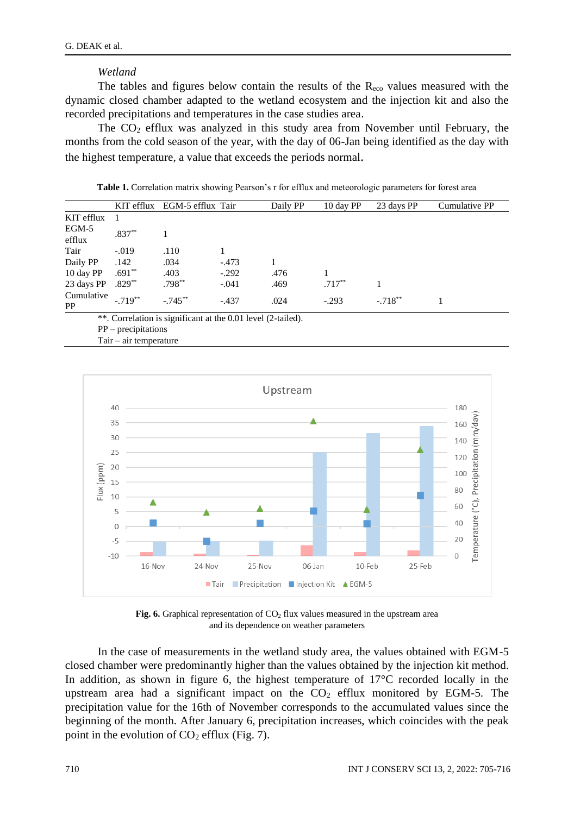#### *Wetland*

The tables and figures below contain the results of the  $R_{\text{eco}}$  values measured with the dynamic closed chamber adapted to the wetland ecosystem and the injection kit and also the recorded precipitations and temperatures in the case studies area.

The  $CO<sub>2</sub>$  efflux was analyzed in this study area from November until February, the months from the cold season of the year, with the day of 06-Jan being identified as the day with the highest temperature, a value that exceeds the periods normal.

**Table 1.** Correlation matrix showing Pearson's r for efflux and meteorologic parameters for forest area

|                         |             | KIT efflux EGM-5 efflux Tair |         | Daily PP | 10 day PP | 23 days PP | Cumulative PP |
|-------------------------|-------------|------------------------------|---------|----------|-----------|------------|---------------|
| KIT efflux              |             |                              |         |          |           |            |               |
| EGM-5<br>efflux         | $.837**$    |                              |         |          |           |            |               |
| Tair                    | $-.019$     | .110                         |         |          |           |            |               |
| Daily PP                | .142        | .034                         | $-.473$ |          |           |            |               |
| 10 day PP               | $.691**$    | .403                         | $-.292$ | .476     |           |            |               |
| 23 days PP              | $.829**$    | $.798***$                    | $-.041$ | .469     | $.717**$  |            |               |
| Cumulative<br><b>PP</b> | $-719^{**}$ | $-745**$                     | $-437$  | .024     | $-.293$   | $-.718**$  |               |

\*\*. Correlation is significant at the 0.01 level (2-tailed).

PP – precipitations

Tair – air temperature



**Fig. 6.** Graphical representation of  $CO<sub>2</sub>$  flux values measured in the upstream area and its dependence on weather parameters

In the case of measurements in the wetland study area, the values obtained with EGM-5 closed chamber were predominantly higher than the values obtained by the injection kit method. In addition, as shown in figure 6, the highest temperature of 17°C recorded locally in the upstream area had a significant impact on the  $CO<sub>2</sub>$  efflux monitored by EGM-5. The precipitation value for the 16th of November corresponds to the accumulated values since the beginning of the month. After January 6, precipitation increases, which coincides with the peak point in the evolution of  $CO<sub>2</sub>$  efflux (Fig. 7).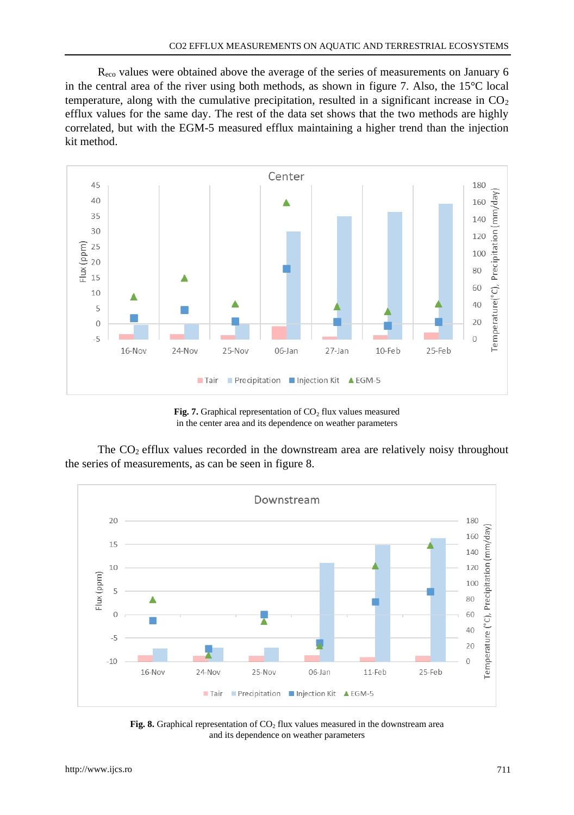Reco values were obtained above the average of the series of measurements on January 6 in the central area of the river using both methods, as shown in figure 7. Also, the 15°C local temperature, along with the cumulative precipitation, resulted in a significant increase in  $CO<sub>2</sub>$ efflux values for the same day. The rest of the data set shows that the two methods are highly correlated, but with the EGM-5 measured efflux maintaining a higher trend than the injection kit method.



**Fig. 7.** Graphical representation of  $CO<sub>2</sub>$  flux values measured in the center area and its dependence on weather parameters

The  $CO<sub>2</sub>$  efflux values recorded in the downstream area are relatively noisy throughout the series of measurements, as can be seen in figure 8.



**Fig. 8.** Graphical representation of  $CO<sub>2</sub>$  flux values measured in the downstream area and its dependence on weather parameters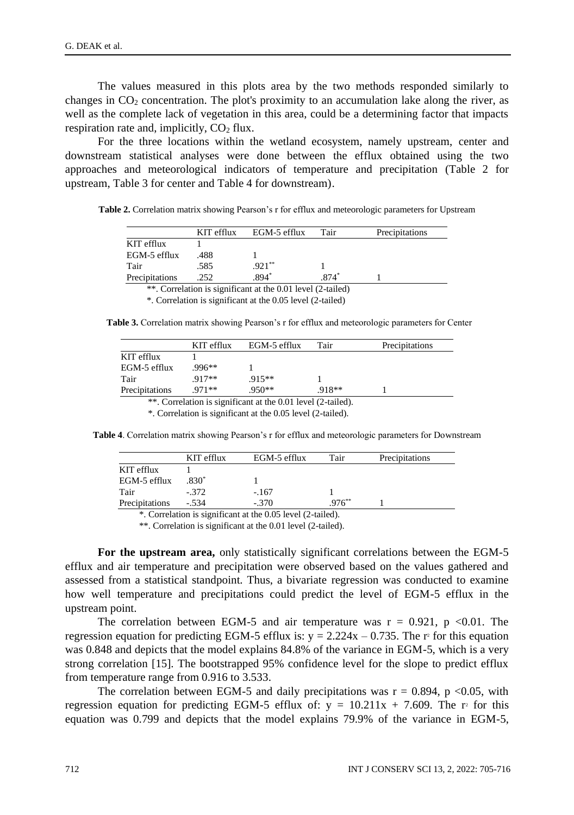The values measured in this plots area by the two methods responded similarly to changes in  $CO<sub>2</sub>$  concentration. The plot's proximity to an accumulation lake along the river, as well as the complete lack of vegetation in this area, could be a determining factor that impacts respiration rate and, implicitly,  $CO<sub>2</sub>$  flux.

For the three locations within the wetland ecosystem, namely upstream, center and downstream statistical analyses were done between the efflux obtained using the two approaches and meteorological indicators of temperature and precipitation (Table 2 for upstream, Table 3 for center and Table 4 for downstream).

**Table 2.** Correlation matrix showing Pearson's r for efflux and meteorologic parameters for Upstream

|                | KIT efflux | EGM-5 efflux | Tair | Precipitations |
|----------------|------------|--------------|------|----------------|
| KIT efflux     |            |              |      |                |
| EGM-5 efflux   | .488       |              |      |                |
| Tair           | .585       | $.921***$    |      |                |
| Precipitations | .252       | $.894*$      | 874  |                |

\*\*. Correlation is significant at the 0.01 level (2-tailed)

\*. Correlation is significant at the 0.05 level (2-tailed)

**Table 3.** Correlation matrix showing Pearson's r for efflux and meteorologic parameters for Center

|                | KIT efflux | EGM-5 efflux | Tair     | Precipitations |  |  |
|----------------|------------|--------------|----------|----------------|--|--|
| KIT efflux     |            |              |          |                |  |  |
| EGM-5 efflux   | $996**$    |              |          |                |  |  |
| Tair           | $917**$    | $915**$      |          |                |  |  |
| Precipitations | $971**$    | $.950**$     | $.918**$ |                |  |  |
|                |            |              |          |                |  |  |

\*\*. Correlation is significant at the 0.01 level (2-tailed).

\*. Correlation is significant at the 0.05 level (2-tailed).

**Table 4**. Correlation matrix showing Pearson's r for efflux and meteorologic parameters for Downstream

|                | KIT efflux | EGM-5 efflux | Tair       | Precipitations |
|----------------|------------|--------------|------------|----------------|
| KIT efflux     |            |              |            |                |
| EGM-5 efflux   | 830*       |              |            |                |
| Tair           | $-.372$    | $-.167$      |            |                |
| Precipitations | - 534      | $-.370$      | $976^{**}$ |                |

. Correlation is significant at the 0.05 level (2-tailed).

\*\*. Correlation is significant at the 0.01 level (2-tailed).

**For the upstream area,** only statistically significant correlations between the EGM-5 efflux and air temperature and precipitation were observed based on the values gathered and assessed from a statistical standpoint. Thus, a bivariate regression was conducted to examine how well temperature and precipitations could predict the level of EGM-5 efflux in the upstream point.

The correlation between EGM-5 and air temperature was  $r = 0.921$ , p <0.01. The regression equation for predicting EGM-5 efflux is:  $y = 2.224x - 0.735$ . The r<sup>2</sup> for this equation was 0.848 and depicts that the model explains 84.8% of the variance in EGM-5, which is a very strong correlation [15]. The bootstrapped 95% confidence level for the slope to predict efflux from temperature range from 0.916 to 3.533.

The correlation between EGM-5 and daily precipitations was  $r = 0.894$ , p <0.05, with regression equation for predicting EGM-5 efflux of:  $y = 10.211x + 7.609$ . The r<sup>2</sup> for this equation was 0.799 and depicts that the model explains 79.9% of the variance in EGM-5,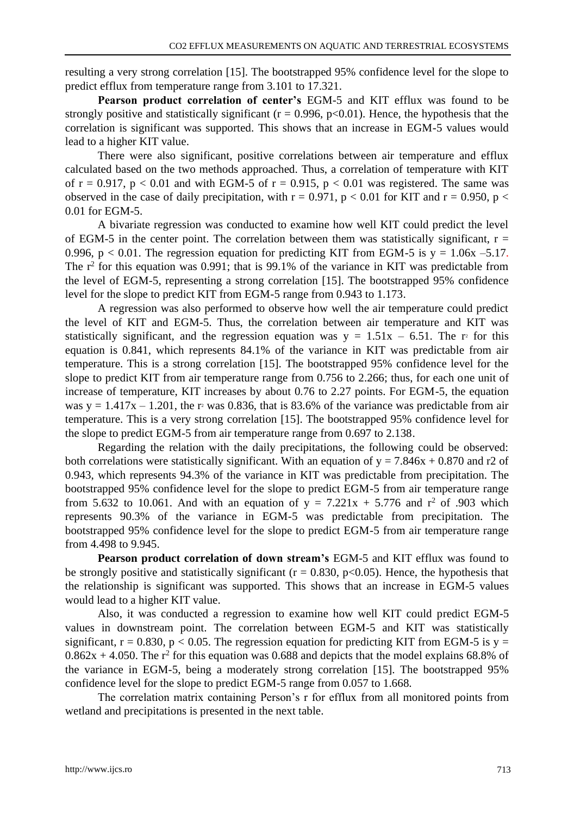resulting a very strong correlation [15]. The bootstrapped 95% confidence level for the slope to predict efflux from temperature range from 3.101 to 17.321.

**Pearson product correlation of center's** EGM-5 and KIT efflux was found to be strongly positive and statistically significant ( $r = 0.996$ ,  $p < 0.01$ ). Hence, the hypothesis that the correlation is significant was supported. This shows that an increase in EGM-5 values would lead to a higher KIT value.

There were also significant, positive correlations between air temperature and efflux calculated based on the two methods approached. Thus, a correlation of temperature with KIT of  $r = 0.917$ ,  $p < 0.01$  and with EGM-5 of  $r = 0.915$ ,  $p < 0.01$  was registered. The same was observed in the case of daily precipitation, with  $r = 0.971$ ,  $p < 0.01$  for KIT and  $r = 0.950$ ,  $p <$ 0.01 for EGM-5.

A bivariate regression was conducted to examine how well KIT could predict the level of EGM-5 in the center point. The correlation between them was statistically significant,  $r =$ 0.996,  $p < 0.01$ . The regression equation for predicting KIT from EGM-5 is  $y = 1.06x - 5.17$ . The  $r^2$  for this equation was 0.991; that is 99.1% of the variance in KIT was predictable from the level of EGM-5, representing a strong correlation [15]. The bootstrapped 95% confidence level for the slope to predict KIT from EGM-5 range from 0.943 to 1.173.

A regression was also performed to observe how well the air temperature could predict the level of KIT and EGM-5. Thus, the correlation between air temperature and KIT was statistically significant, and the regression equation was  $y = 1.51x - 6.51$ . The r<sup>2</sup> for this equation is 0.841, which represents 84.1% of the variance in KIT was predictable from air temperature. This is a strong correlation [15]. The bootstrapped 95% confidence level for the slope to predict KIT from air temperature range from 0.756 to 2.266; thus, for each one unit of increase of temperature, KIT increases by about 0.76 to 2.27 points. For EGM-5, the equation was  $y = 1.417x - 1.201$ , the r<sup>2</sup> was 0.836, that is 83.6% of the variance was predictable from air temperature. This is a very strong correlation [15]. The bootstrapped 95% confidence level for the slope to predict EGM-5 from air temperature range from 0.697 to 2.138.

Regarding the relation with the daily precipitations, the following could be observed: both correlations were statistically significant. With an equation of  $y = 7.846x + 0.870$  and r2 of 0.943, which represents 94.3% of the variance in KIT was predictable from precipitation. The bootstrapped 95% confidence level for the slope to predict EGM-5 from air temperature range from 5.632 to 10.061. And with an equation of  $y = 7.221x + 5.776$  and  $r^2$  of .903 which represents 90.3% of the variance in EGM-5 was predictable from precipitation. The bootstrapped 95% confidence level for the slope to predict EGM-5 from air temperature range from 4.498 to 9.945.

**Pearson product correlation of down stream's** EGM-5 and KIT efflux was found to be strongly positive and statistically significant ( $r = 0.830$ ,  $p < 0.05$ ). Hence, the hypothesis that the relationship is significant was supported. This shows that an increase in EGM-5 values would lead to a higher KIT value.

Also, it was conducted a regression to examine how well KIT could predict EGM-5 values in downstream point. The correlation between EGM-5 and KIT was statistically significant,  $r = 0.830$ ,  $p < 0.05$ . The regression equation for predicting KIT from EGM-5 is  $y =$  $0.862x + 4.050$ . The r<sup>2</sup> for this equation was 0.688 and depicts that the model explains 68.8% of the variance in EGM-5, being a moderately strong correlation [15]. The bootstrapped 95% confidence level for the slope to predict EGM-5 range from 0.057 to 1.668.

The correlation matrix containing Person's r for efflux from all monitored points from wetland and precipitations is presented in the next table.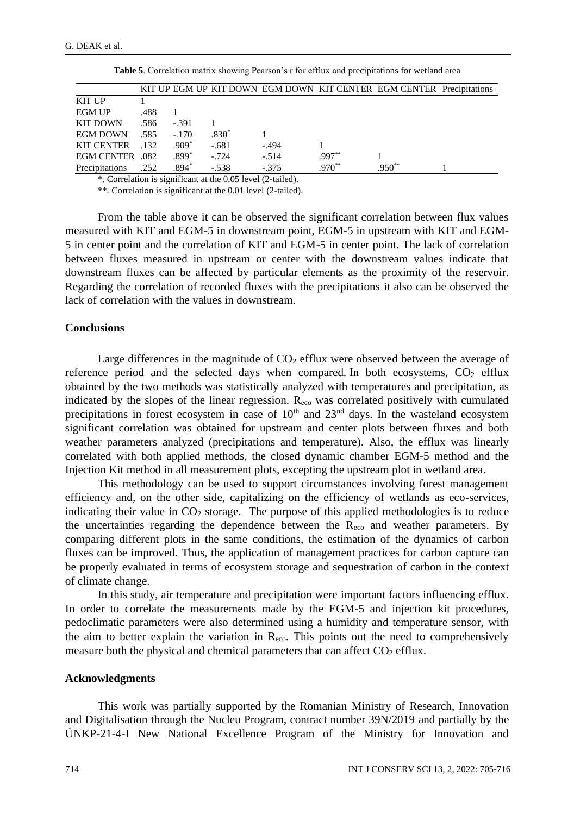|                   |      |         |         |         |          | KIT UP EGM UP KIT DOWN EGM DOWN KIT CENTER EGM CENTER Precipitations |  |
|-------------------|------|---------|---------|---------|----------|----------------------------------------------------------------------|--|
| <b>KIT UP</b>     |      |         |         |         |          |                                                                      |  |
| <b>EGM UP</b>     | .488 |         |         |         |          |                                                                      |  |
| <b>KIT DOWN</b>   | .586 | $-.391$ |         |         |          |                                                                      |  |
| <b>EGM DOWN</b>   | .585 | $-.170$ | $.830*$ |         |          |                                                                      |  |
| <b>KIT CENTER</b> | -132 | $.909*$ | $-.681$ | $-.494$ |          |                                                                      |  |
| EGM CENTER 082    |      | .899*   | $-724$  | $-.514$ | $.997**$ |                                                                      |  |
| Precipitations    | .252 | $.894*$ | $-.538$ | $-.375$ | $.970**$ | $.950**$                                                             |  |

**Table 5**. Correlation matrix showing Pearson's r for efflux and precipitations for wetland area

\*. Correlation is significant at the 0.05 level (2-tailed).

\*\*. Correlation is significant at the 0.01 level (2-tailed).

From the table above it can be observed the significant correlation between flux values measured with KIT and EGM-5 in downstream point, EGM-5 in upstream with KIT and EGM-5 in center point and the correlation of KIT and EGM-5 in center point. The lack of correlation between fluxes measured in upstream or center with the downstream values indicate that downstream fluxes can be affected by particular elements as the proximity of the reservoir. Regarding the correlation of recorded fluxes with the precipitations it also can be observed the lack of correlation with the values in downstream.

#### **Conclusions**

Large differences in the magnitude of  $CO<sub>2</sub>$  efflux were observed between the average of reference period and the selected days when compared. In both ecosystems,  $CO<sub>2</sub>$  efflux obtained by the two methods was statistically analyzed with temperatures and precipitation, as indicated by the slopes of the linear regression.  $R_{\text{eco}}$  was correlated positively with cumulated precipitations in forest ecosystem in case of  $10<sup>th</sup>$  and  $23<sup>nd</sup>$  days. In the wasteland ecosystem significant correlation was obtained for upstream and center plots between fluxes and both weather parameters analyzed (precipitations and temperature). Also, the efflux was linearly correlated with both applied methods, the closed dynamic chamber EGM-5 method and the Injection Kit method in all measurement plots, excepting the upstream plot in wetland area.

This methodology can be used to support circumstances involving forest management efficiency and, on the other side, capitalizing on the efficiency of wetlands as eco-services, indicating their value in  $CO<sub>2</sub>$  storage. The purpose of this applied methodologies is to reduce the uncertainties regarding the dependence between the  $R_{\text{eco}}$  and weather parameters. By comparing different plots in the same conditions, the estimation of the dynamics of carbon fluxes can be improved. Thus, the application of management practices for carbon capture can be properly evaluated in terms of ecosystem storage and sequestration of carbon in the context of climate change.

In this study, air temperature and precipitation were important factors influencing efflux. In order to correlate the measurements made by the EGM-5 and injection kit procedures, pedoclimatic parameters were also determined using a humidity and temperature sensor, with the aim to better explain the variation in  $\rm R_{\rm eco}$ . This points out the need to comprehensively measure both the physical and chemical parameters that can affect  $CO<sub>2</sub>$  efflux.

#### **Acknowledgments**

This work was partially supported by the Romanian Ministry of Research, Innovation and Digitalisation through the Nucleu Program, contract number 39N/2019 and partially by the ÚNKP-21-4-I New National Excellence Program of the Ministry for Innovation and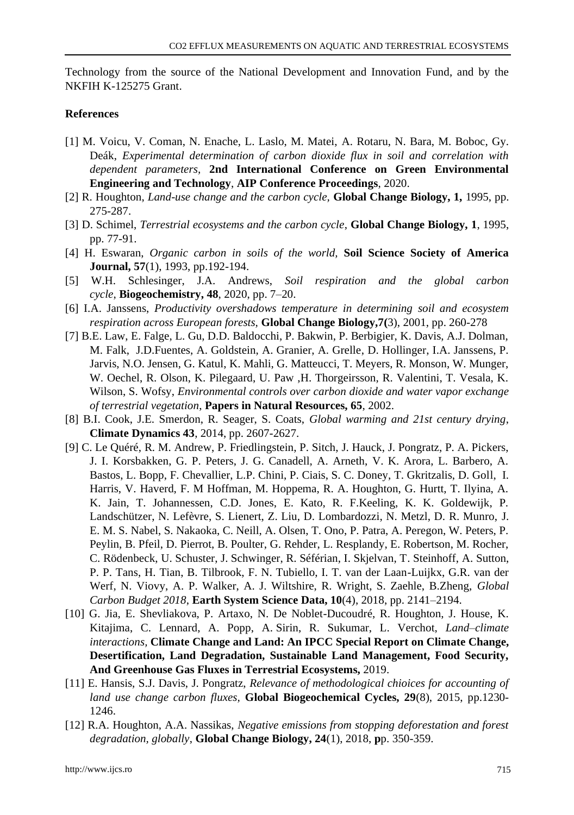Technology from the source of the National Development and Innovation Fund, and by the NKFIH K-125275 Grant.

#### **References**

- [1] M. Voicu, V. Coman, N. Enache, L. Laslo, M. Matei, A. Rotaru, N. Bara, M. Boboc, Gy. Deák, *Experimental determination of carbon dioxide flux in soil and correlation with dependent parameters,* **2nd International Conference on Green Environmental Engineering and Technology**, **AIP Conference Proceedings**, 2020.
- [2] R. Houghton, *Land-use change and the carbon cycle,* **Global Change Biology, 1,** 1995, pp. 275-287.
- [3] D. Schimel, *Terrestrial ecosystems and the carbon cycle*, **Global Change Biology, 1**, 1995, pp. 77-91.
- [4] H. Eswaran, *Organic carbon in soils of the world,* **Soil Science Society of America Journal, 57**(1), 1993, pp.192-194.
- [5] W.H. Schlesinger, J.A. Andrews, *Soil respiration and the global carbon cycle*, **Biogeochemistry, 48**, 2020, pp. 7–20.
- [6] I.A. Janssens, *Productivity overshadows temperature in determining soil and ecosystem respiration across European forests,* **Global Change Biology,7(**3), 2001, pp. 260-278
- [7] B.E. Law, E. Falge, L. Gu, D.D. Baldocchi, P. Bakwin, P. Berbigier, K. Davis, A.J. Dolman, M. Falk, J.D.Fuentes, A. Goldstein, A. Granier, A. Grelle, D. Hollinger, I.A. Janssens, P. Jarvis, N.O. Jensen, G. Katul, K. Mahli, G. Matteucci, T. Meyers, R. Monson, W. Munger, W. Oechel, R. Olson, K. Pilegaard, U. Paw ,H. Thorgeirsson, R. Valentini, T. Vesala, K. Wilson, S. Wofsy, *Environmental controls over carbon dioxide and water vapor exchange of terrestrial vegetation*, **Papers in Natural Resources, 65**, 2002.
- [8] B.I. Cook, J.E. Smerdon, R. Seager, S. Coats, *Global warming and 21st century drying*, **Climate Dynamics 43**, 2014, pp. 2607-2627.
- [9] C. Le Quéré, R. M. Andrew, P. Friedlingstein, P. Sitch, J. Hauck, J. Pongratz, P. A. Pickers, J. I. Korsbakken, G. P. Peters, J. G. Canadell, A. Arneth, V. K. Arora, L. Barbero, A. Bastos, L. Bopp, F. Chevallier, L.P. Chini, P. Ciais, S. C. Doney, T. Gkritzalis, D. Goll, I. Harris, V. Haverd, F. M Hoffman, M. Hoppema, R. A. Houghton, G. Hurtt, T. Ilyina, A. K. Jain, T. Johannessen, C.D. Jones, E. Kato, R. F.Keeling, K. K. Goldewijk, P. Landschützer, N. Lefèvre, S. Lienert, Z. Liu, D. Lombardozzi, N. Metzl, D. R. Munro, J. E. M. S. Nabel, S. Nakaoka, C. Neill, A. Olsen, T. Ono, P. Patra, A. Peregon, W. Peters, P. Peylin, B. Pfeil, D. Pierrot, B. Poulter, G. Rehder, L. Resplandy, E. Robertson, M. Rocher, C. Rödenbeck, U. Schuster, J. Schwinger, R. Séférian, I. Skjelvan, T. Steinhoff, A. Sutton, P. P. Tans, H. Tian, B. Tilbrook, F. N. Tubiello, I. T. van der Laan-Luijkx, G.R. van der Werf, N. Viovy, A. P. Walker, A. J. Wiltshire, R. Wright, S. Zaehle, B.Zheng, *Global Carbon Budget 2018*, **Earth System Science Data, 10**(4), 2018, pp. 2141–2194.
- [10] G. Jia, E. Shevliakova, P. Artaxo, N. De Noblet-Ducoudré, R. Houghton, J. House, K. Kitajima, C. Lennard, A. Popp, A. Sirin, R. Sukumar, L. Verchot, *Land–climate interactions,* **Climate Change and Land: An IPCC Special Report on Climate Change, Desertification, Land Degradation, Sustainable Land Management, Food Security, And Greenhouse Gas Fluxes in Terrestrial Ecosystems,** 2019.
- [11] E. Hansis, S.J. Davis, J. Pongratz, *Relevance of methodological chioices for accounting of land use change carbon fluxes,* **Global Biogeochemical Cycles, 29**(8), 2015, pp.1230- 1246.
- [12] R.A. Houghton, A.A. Nassikas, *Negative emissions from stopping deforestation and forest degradation, globally*, **Global Change Biology, 24**(1), 2018, **p**p. 350-359.